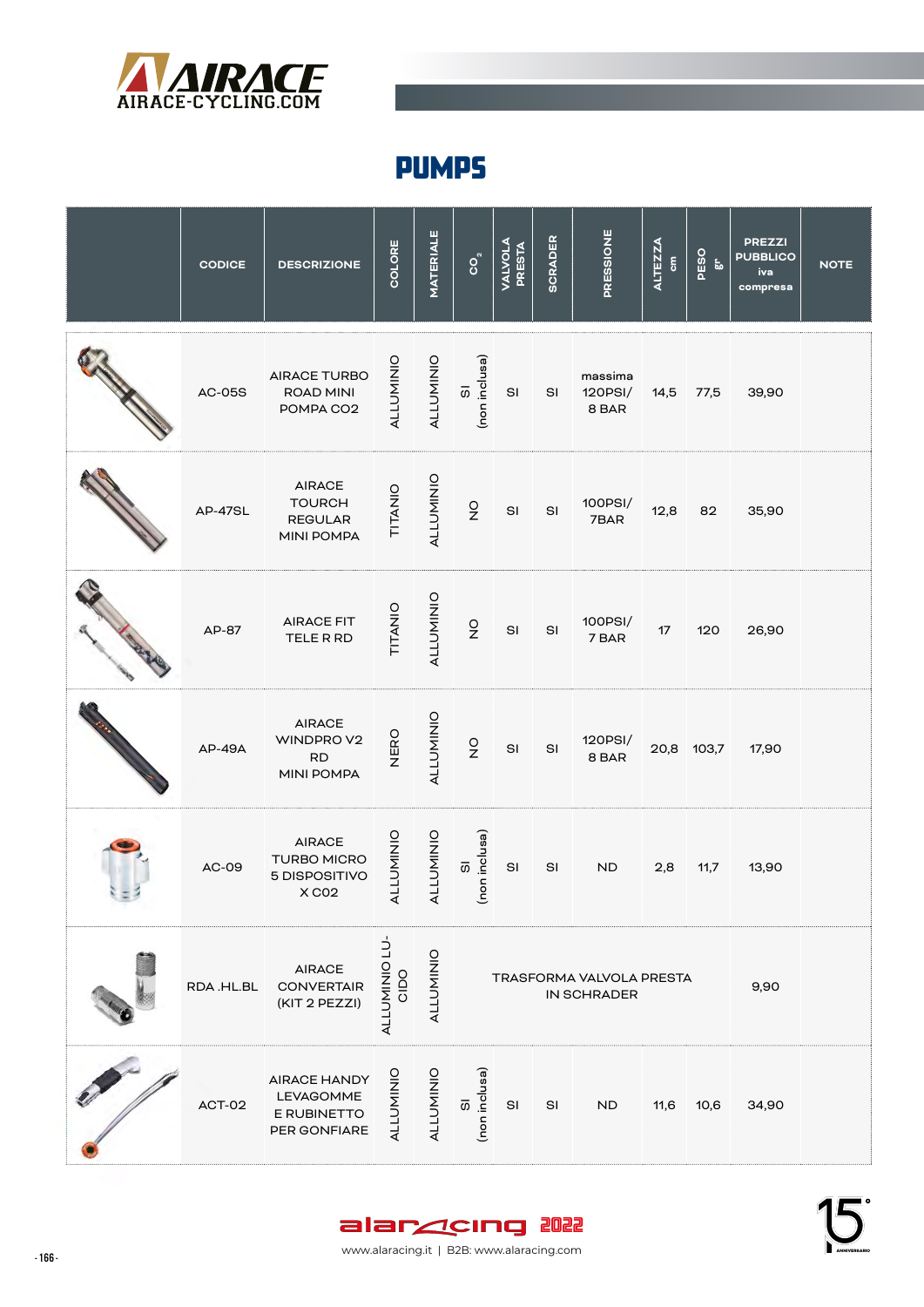

## PUMPS

|                | <b>CODICE</b> | <b>DESCRIZIONE</b>                                             | COLORE               | <b>MATERIALE</b> | $\mathsf{S}_\mathsf{S}$                  | <b>VALVOLA</b><br>PRESTA | <b>SCRADER</b> | PRESSIONE                   | <b>ALTEZZA</b><br>$\epsilon$ | PESO<br>$\epsilon$ | <b>PREZZI</b><br><b>PUBBLICO</b><br>iva<br>compresa | <b>NOTE</b> |
|----------------|---------------|----------------------------------------------------------------|----------------------|------------------|------------------------------------------|--------------------------|----------------|-----------------------------|------------------------------|--------------------|-----------------------------------------------------|-------------|
| <b>CANADAS</b> | <b>AC-05S</b> | AIRACE TURBO<br>ROAD MINI<br>POMPA CO2                         | <b>ALLUMINIO</b>     | ALLUMINIO        | (non inclusa)<br>$\overline{\mathrm{O}}$ | SI                       | SI             | massima<br>120PSI/<br>8 BAR | 14,5                         | 77,5               | 39,90                                               |             |
|                | AP-47SL       | <b>AIRACE</b><br><b>TOURCH</b><br><b>REGULAR</b><br>MINI POMPA | TITANIO              | ALLUMINIO        | $\frac{1}{2}$                            | $\mathsf{SI}$            | SI             | 100PSI/<br>7BAR             | 12,8                         | 82                 | 35,90                                               |             |
| Charles Harry  | AP-87         | <b>AIRACE FIT</b><br>TELE R RD                                 | TITANIO              | ALLUMINIO        | $\frac{0}{2}$                            | $\mathsf{SI}$            | $\mathsf{SI}$  | 100PSI/<br>7 BAR            | 17                           | 120                | 26,90                                               |             |
|                | <b>AP-49A</b> | <b>AIRACE</b><br>WINDPROV2<br><b>RD</b><br>MINI POMPA          | NERO                 | <b>ALLUMINIO</b> | $\frac{0}{2}$                            | $\mathsf{SI}$            | SI             | 120PSI/<br>8 BAR            |                              | 20,8 103,7         | 17,90                                               |             |
|                | AC-09         | <b>AIRACE</b><br><b>TURBO MICRO</b><br>5 DISPOSITIVO<br>X CO2  | <b>ALLUMINIO</b>     | ALLUMINIO        | (non inclusa)<br>$\overline{\mathrm{O}}$ | SI                       | SI             | <b>ND</b>                   | 2,8                          | 11,7               | 13,90                                               |             |
|                | RDA.HL.BL     | <b>AIRACE</b><br><b>CONVERTAIR</b><br>(KIT 2 PEZZI)            | ALLUMINIO LU-<br>OOD | ALLUMINIO        | TRASFORMA VALVOLA PRESTA<br>IN SCHRADER  |                          |                |                             |                              |                    | 9,90                                                |             |
|                | ACT-02        | AIRACE HANDY<br>LEVAGOMME<br>E RUBINETTO<br>PER GONFIARE       | <b>ALLUMINIO</b>     | ALLUMINIO        | (non inclusa)<br>$\overline{\omega}$     | SI                       | SI             | <b>ND</b>                   | 11,6                         | 10,6               | 34,90                                               |             |